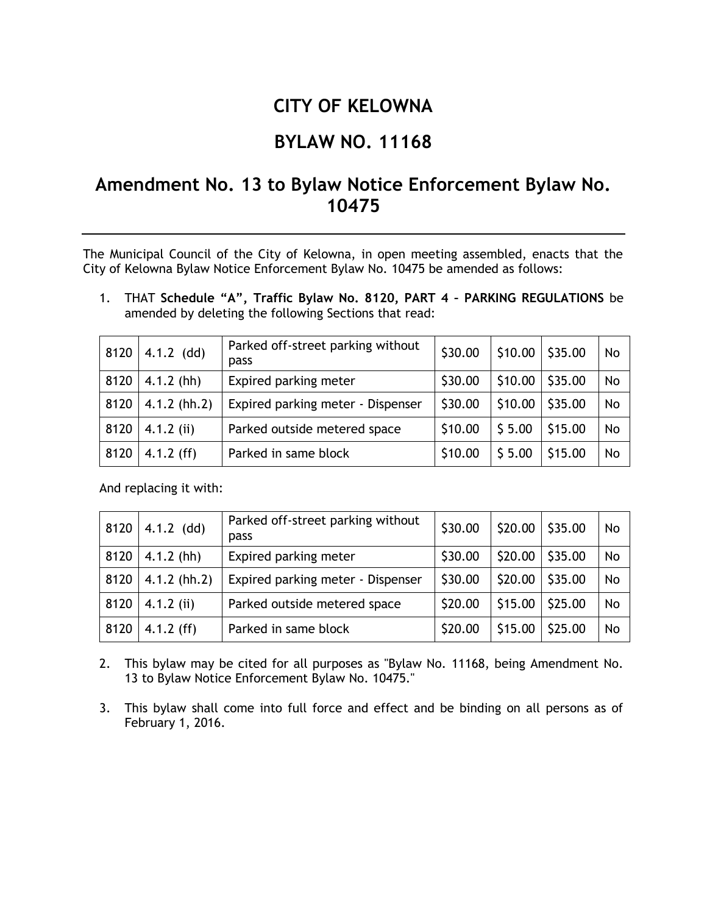## **CITY OF KELOWNA**

## **BYLAW NO. 11168**

## **Amendment No. 13 to Bylaw Notice Enforcement Bylaw No. 10475**

The Municipal Council of the City of Kelowna, in open meeting assembled, enacts that the City of Kelowna Bylaw Notice Enforcement Bylaw No. 10475 be amended as follows:

1. THAT **Schedule "A", Traffic Bylaw No. 8120, PART 4 – PARKING REGULATIONS** be amended by deleting the following Sections that read:

| 8120 | $4.1.2$ (dd)   | Parked off-street parking without<br>pass | \$30.00 | \$10.00 | \$35.00 | No |
|------|----------------|-------------------------------------------|---------|---------|---------|----|
| 8120 | $4.1.2$ (hh)   | Expired parking meter                     | \$30.00 | \$10.00 | \$35.00 | No |
| 8120 | $4.1.2$ (hh.2) | Expired parking meter - Dispenser         | \$30.00 | \$10.00 | \$35.00 | No |
| 8120 | $4.1.2$ (ii)   | Parked outside metered space              | \$10.00 | \$5.00  | \$15.00 | No |
| 8120 | $4.1.2$ (ff)   | Parked in same block                      | \$10.00 | \$5.00  | \$15.00 | No |

And replacing it with:

| 8120 | $4.1.2$ (dd)   | Parked off-street parking without<br>pass | \$30.00 | \$20.00 | \$35.00 | No        |
|------|----------------|-------------------------------------------|---------|---------|---------|-----------|
| 8120 | $4.1.2$ (hh)   | Expired parking meter                     | \$30.00 | \$20.00 | \$35.00 | <b>No</b> |
| 8120 | $4.1.2$ (hh.2) | Expired parking meter - Dispenser         | \$30.00 | \$20.00 | \$35.00 | <b>No</b> |
| 8120 | $4.1.2$ (ii)   | Parked outside metered space              | \$20.00 | \$15.00 | \$25.00 | <b>No</b> |
| 8120 | $4.1.2$ (ff)   | Parked in same block                      | \$20.00 | \$15.00 | \$25.00 | <b>No</b> |

2. This bylaw may be cited for all purposes as "Bylaw No. 11168, being Amendment No. 13 to Bylaw Notice Enforcement Bylaw No. 10475."

3. This bylaw shall come into full force and effect and be binding on all persons as of February 1, 2016.